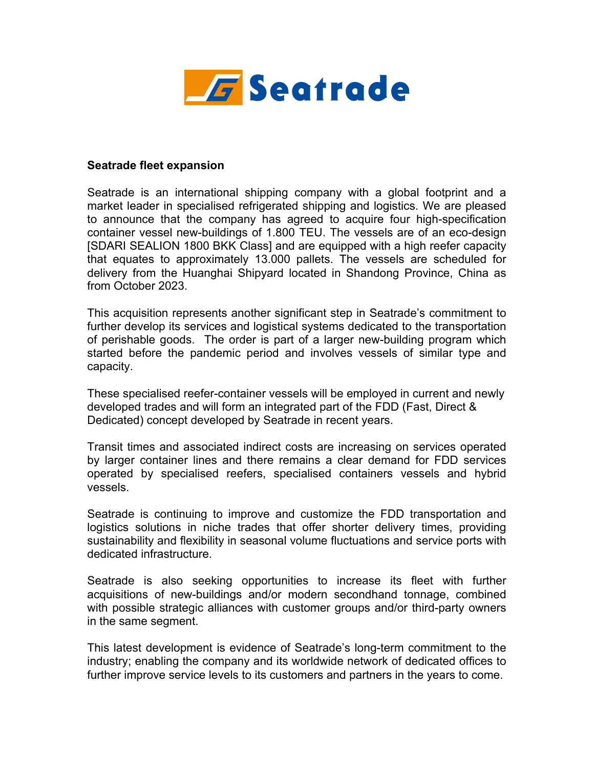

## **Seatrade fleet expansion**

Seatrade is an international shipping company with a global footprint and a market leader in specialised refrigerated shipping and logistics. We are pleased to announce that the company has agreed to acquire four high-specification container vessel new-buildings of 1.800 TEU. The vessels are of an eco-design [SDARI SEALION 1800 BKK Class] and are equipped with a high reefer capacity that equates to approximately 13.000 pallets. The vessels are scheduled for delivery from the Huanghai Shipyard located in Shandong Province, China as from October 2023.

This acquisition represents another significant step in Seatrade's commitment to further develop its services and logistical systems dedicated to the transportation of perishable goods. The order is part of a larger new-building program which started before the pandemic period and involves vessels of similar type and capacity.

These specialised reefer-container vessels will be employed in current and newly developed trades and will form an integrated part of the FDD (Fast, Direct & Dedicated) concept developed by Seatrade in recent years.

Transit times and associated indirect costs are increasing on services operated by larger container lines and there remains a clear demand for FDD services operated by specialised reefers, specialised containers vessels and hybrid vessels.

Seatrade is continuing to improve and customize the FDD transportation and logistics solutions in niche trades that offer shorter delivery times, providing sustainability and flexibility in seasonal volume fluctuations and service ports with dedicated infrastructure.

Seatrade is also seeking opportunities to increase its fleet with further acquisitions of new-buildings and/or modern secondhand tonnage, combined with possible strategic alliances with customer groups and/or third-party owners in the same segment.

This latest development is evidence of Seatrade's long-term commitment to the industry; enabling the company and its worldwide network of dedicated offices to further improve service levels to its customers and partners in the years to come.